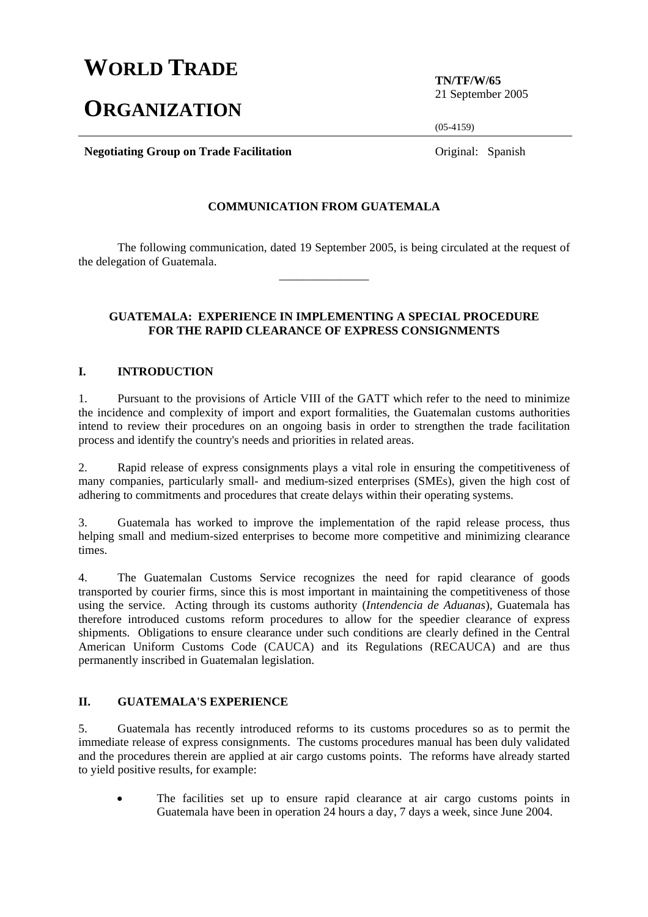## **WORLD TRADE**

# **ORGANIZATION**

**TN/TF/W/65**  21 September 2005

 $(05-4159)$ 

**Negotiating Group on Trade Facilitation Constanting Constanting Group on Trade Facilitation Constanting Constanting Constanting Constanting Constanting Constanting Constanting Constanting Constanting Constanting Const** 

#### **COMMUNICATION FROM GUATEMALA**

 The following communication, dated 19 September 2005, is being circulated at the request of the delegation of Guatemala. \_\_\_\_\_\_\_\_\_\_\_\_\_\_\_

#### **GUATEMALA: EXPERIENCE IN IMPLEMENTING A SPECIAL PROCEDURE FOR THE RAPID CLEARANCE OF EXPRESS CONSIGNMENTS**

#### **I. INTRODUCTION**

1. Pursuant to the provisions of Article VIII of the GATT which refer to the need to minimize the incidence and complexity of import and export formalities, the Guatemalan customs authorities intend to review their procedures on an ongoing basis in order to strengthen the trade facilitation process and identify the country's needs and priorities in related areas.

2. Rapid release of express consignments plays a vital role in ensuring the competitiveness of many companies, particularly small- and medium-sized enterprises (SMEs), given the high cost of adhering to commitments and procedures that create delays within their operating systems.

3. Guatemala has worked to improve the implementation of the rapid release process, thus helping small and medium-sized enterprises to become more competitive and minimizing clearance times.

4. The Guatemalan Customs Service recognizes the need for rapid clearance of goods transported by courier firms, since this is most important in maintaining the competitiveness of those using the service. Acting through its customs authority (*Intendencia de Aduanas*), Guatemala has therefore introduced customs reform procedures to allow for the speedier clearance of express shipments. Obligations to ensure clearance under such conditions are clearly defined in the Central American Uniform Customs Code (CAUCA) and its Regulations (RECAUCA) and are thus permanently inscribed in Guatemalan legislation.

## **II. GUATEMALA'S EXPERIENCE**

5. Guatemala has recently introduced reforms to its customs procedures so as to permit the immediate release of express consignments. The customs procedures manual has been duly validated and the procedures therein are applied at air cargo customs points. The reforms have already started to yield positive results, for example:

The facilities set up to ensure rapid clearance at air cargo customs points in Guatemala have been in operation 24 hours a day, 7 days a week, since June 2004.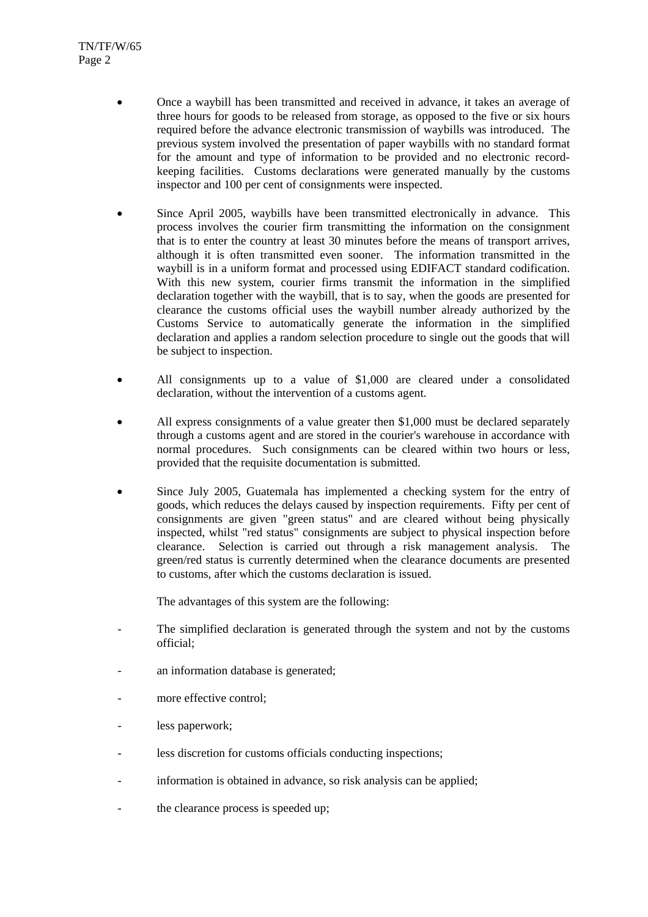- Once a waybill has been transmitted and received in advance, it takes an average of three hours for goods to be released from storage, as opposed to the five or six hours required before the advance electronic transmission of waybills was introduced. The previous system involved the presentation of paper waybills with no standard format for the amount and type of information to be provided and no electronic recordkeeping facilities. Customs declarations were generated manually by the customs inspector and 100 per cent of consignments were inspected.
- Since April 2005, waybills have been transmitted electronically in advance. This process involves the courier firm transmitting the information on the consignment that is to enter the country at least 30 minutes before the means of transport arrives, although it is often transmitted even sooner. The information transmitted in the waybill is in a uniform format and processed using EDIFACT standard codification. With this new system, courier firms transmit the information in the simplified declaration together with the waybill, that is to say, when the goods are presented for clearance the customs official uses the waybill number already authorized by the Customs Service to automatically generate the information in the simplified declaration and applies a random selection procedure to single out the goods that will be subject to inspection.
- All consignments up to a value of \$1,000 are cleared under a consolidated declaration, without the intervention of a customs agent.
- All express consignments of a value greater then \$1,000 must be declared separately through a customs agent and are stored in the courier's warehouse in accordance with normal procedures. Such consignments can be cleared within two hours or less, provided that the requisite documentation is submitted.
- Since July 2005, Guatemala has implemented a checking system for the entry of goods, which reduces the delays caused by inspection requirements. Fifty per cent of consignments are given "green status" and are cleared without being physically inspected, whilst "red status" consignments are subject to physical inspection before clearance. Selection is carried out through a risk management analysis. The green/red status is currently determined when the clearance documents are presented to customs, after which the customs declaration is issued.

The advantages of this system are the following:

- The simplified declaration is generated through the system and not by the customs official;
- an information database is generated;
- more effective control;
- less paperwork:
- less discretion for customs officials conducting inspections;
- information is obtained in advance, so risk analysis can be applied;
- the clearance process is speeded up;